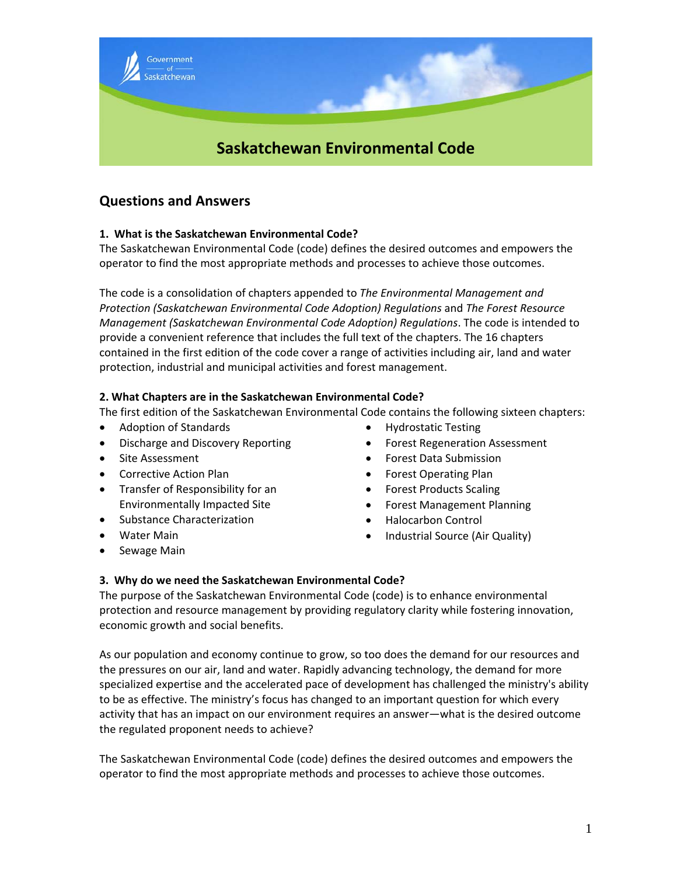

# **Questions and Answers**

# **1. What is the Saskatchewan Environmental Code?**

The Saskatchewan Environmental Code (code) defines the desired outcomes and empowers the operator to find the most appropriate methods and processes to achieve those outcomes.

The code is a consolidation of chapters appended to *The Environmental Management and Protection (Saskatchewan Environmental Code Adoption) Regulations* and *The Forest Resource Management (Saskatchewan Environmental Code Adoption) Regulations*. The code is intended to provide a convenient reference that includes the full text of the chapters. The 16 chapters contained in the first edition of the code cover a range of activities including air, land and water protection, industrial and municipal activities and forest management.

# **2. What Chapters are in the Saskatchewan Environmental Code?**

The first edition of the Saskatchewan Environmental Code contains the following sixteen chapters:

- Adoption of Standards
- Discharge and Discovery Reporting
- Site Assessment
- Corrective Action Plan
- Transfer of Responsibility for an Environmentally Impacted Site
- Substance Characterization
- Water Main
- Sewage Main
- Hydrostatic Testing
- Forest Regeneration Assessment
- Forest Data Submission
- Forest Operating Plan
- Forest Products Scaling
- Forest Management Planning
- Halocarbon Control
- Industrial Source (Air Quality)

# **3. Why do we need the Saskatchewan Environmental Code?**

The purpose of the Saskatchewan Environmental Code (code) is to enhance environmental protection and resource management by providing regulatory clarity while fostering innovation, economic growth and social benefits.

As our population and economy continue to grow, so too does the demand for our resources and the pressures on our air, land and water. Rapidly advancing technology, the demand for more specialized expertise and the accelerated pace of development has challenged the ministry's ability to be as effective. The ministry's focus has changed to an important question for which every activity that has an impact on our environment requires an answer—what is the desired outcome the regulated proponent needs to achieve?

The Saskatchewan Environmental Code (code) defines the desired outcomes and empowers the operator to find the most appropriate methods and processes to achieve those outcomes.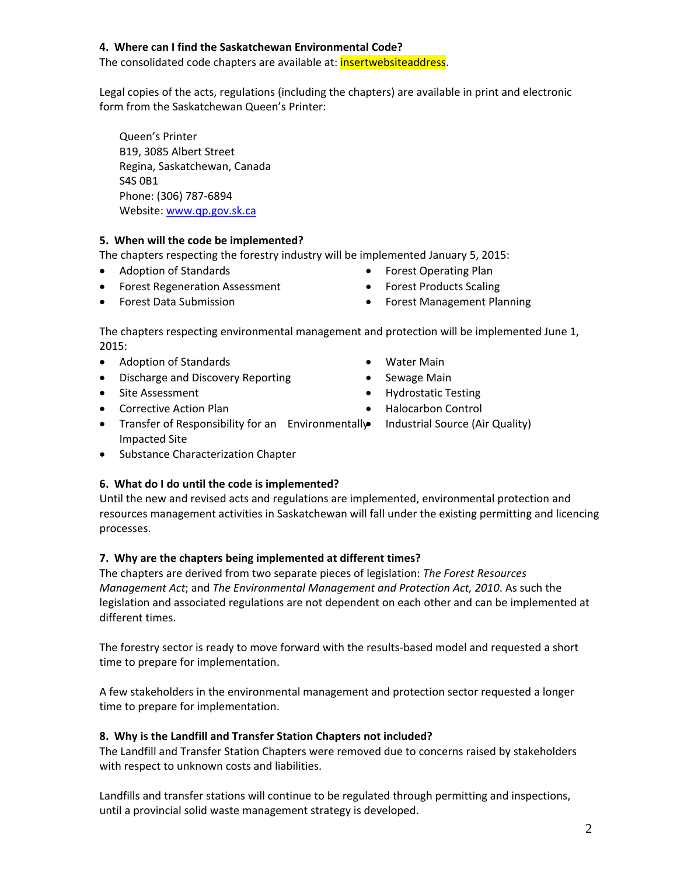# **4. Where can I find the Saskatchewan Environmental Code?**

The consolidated code chapters are available at: **insertwebsiteaddress**.

Legal copies of the acts, regulations (including the chapters) are available in print and electronic form from the Saskatchewan Queen's Printer:

Queen's Printer B19, 3085 Albert Street Regina, Saskatchewan, Canada S4S 0B1 Phone: (306) 787‐6894 Website: www.qp.gov.sk.ca

# **5. When will the code be implemented?**

The chapters respecting the forestry industry will be implemented January 5, 2015:

- Adoption of Standards
- **•** Forest Regeneration Assessment
- Forest Data Submission
- Forest Operating Plan
- Forest Products Scaling
- Forest Management Planning

The chapters respecting environmental management and protection will be implemented June 1, 2015:

- Adoption of Standards
- Discharge and Discovery Reporting
- Site Assessment
- Corrective Action Plan
- Transfer of Responsibility for an Environmentally Impacted Site
- Substance Characterization Chapter

# **6. What do I do until the code is implemented?**

Until the new and revised acts and regulations are implemented, environmental protection and resources management activities in Saskatchewan will fall under the existing permitting and licencing processes.

# **7. Why are the chapters being implemented at different times?**

The chapters are derived from two separate pieces of legislation: *The Forest Resources Management Act*; and *The Environmental Management and Protection Act, 2010*. As such the legislation and associated regulations are not dependent on each other and can be implemented at different times.

The forestry sector is ready to move forward with the results-based model and requested a short time to prepare for implementation.

A few stakeholders in the environmental management and protection sector requested a longer time to prepare for implementation.

# **8. Why is the Landfill and Transfer Station Chapters not included?**

The Landfill and Transfer Station Chapters were removed due to concerns raised by stakeholders with respect to unknown costs and liabilities.

Landfills and transfer stations will continue to be regulated through permitting and inspections, until a provincial solid waste management strategy is developed.

- Water Main
- Sewage Main
- Hydrostatic Testing
- Halocarbon Control
- Industrial Source (Air Quality)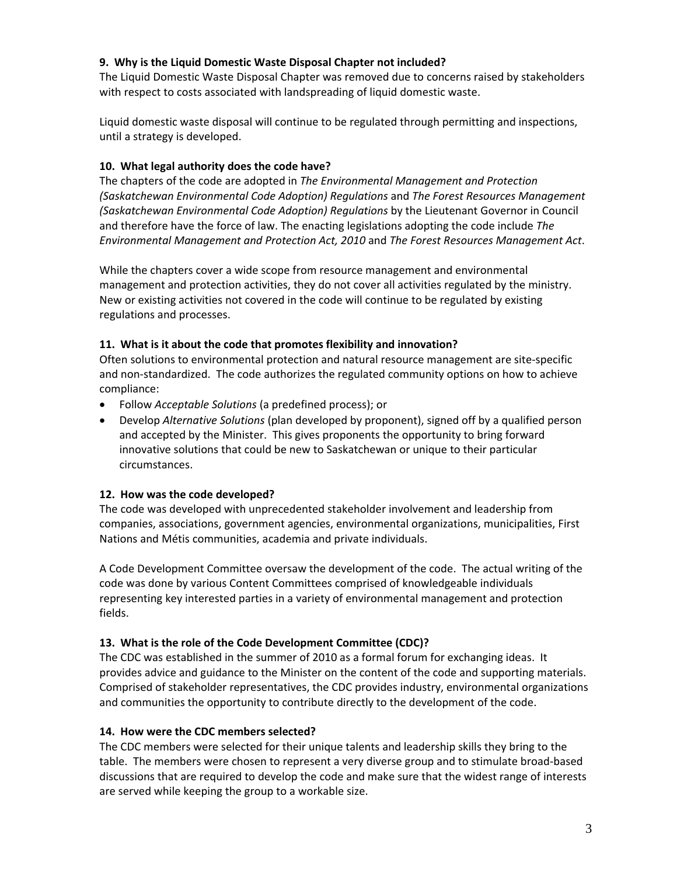#### **9. Why is the Liquid Domestic Waste Disposal Chapter not included?**

The Liquid Domestic Waste Disposal Chapter was removed due to concerns raised by stakeholders with respect to costs associated with landspreading of liquid domestic waste.

Liquid domestic waste disposal will continue to be regulated through permitting and inspections, until a strategy is developed.

## **10. What legal authority does the code have?**

The chapters of the code are adopted in *The Environmental Management and Protection (Saskatchewan Environmental Code Adoption) Regulations* and *The Forest Resources Management (Saskatchewan Environmental Code Adoption) Regulations* by the Lieutenant Governor in Council and therefore have the force of law. The enacting legislations adopting the code include *The Environmental Management and Protection Act, 2010* and *The Forest Resources Management Act*.

While the chapters cover a wide scope from resource management and environmental management and protection activities, they do not cover all activities regulated by the ministry. New or existing activities not covered in the code will continue to be regulated by existing regulations and processes.

#### **11. What is it about the code that promotes flexibility and innovation?**

Often solutions to environmental protection and natural resource management are site‐specific and non‐standardized. The code authorizes the regulated community options on how to achieve compliance:

- Follow *Acceptable Solutions* (a predefined process); or
- Develop *Alternative Solutions* (plan developed by proponent), signed off by a qualified person and accepted by the Minister. This gives proponents the opportunity to bring forward innovative solutions that could be new to Saskatchewan or unique to their particular circumstances.

# **12. How was the code developed?**

The code was developed with unprecedented stakeholder involvement and leadership from companies, associations, government agencies, environmental organizations, municipalities, First Nations and Métis communities, academia and private individuals.

A Code Development Committee oversaw the development of the code. The actual writing of the code was done by various Content Committees comprised of knowledgeable individuals representing key interested parties in a variety of environmental management and protection fields.

# **13. What is the role of the Code Development Committee (CDC)?**

The CDC was established in the summer of 2010 as a formal forum for exchanging ideas. It provides advice and guidance to the Minister on the content of the code and supporting materials. Comprised of stakeholder representatives, the CDC provides industry, environmental organizations and communities the opportunity to contribute directly to the development of the code.

#### **14. How were the CDC members selected?**

The CDC members were selected for their unique talents and leadership skills they bring to the table. The members were chosen to represent a very diverse group and to stimulate broad‐based discussions that are required to develop the code and make sure that the widest range of interests are served while keeping the group to a workable size.